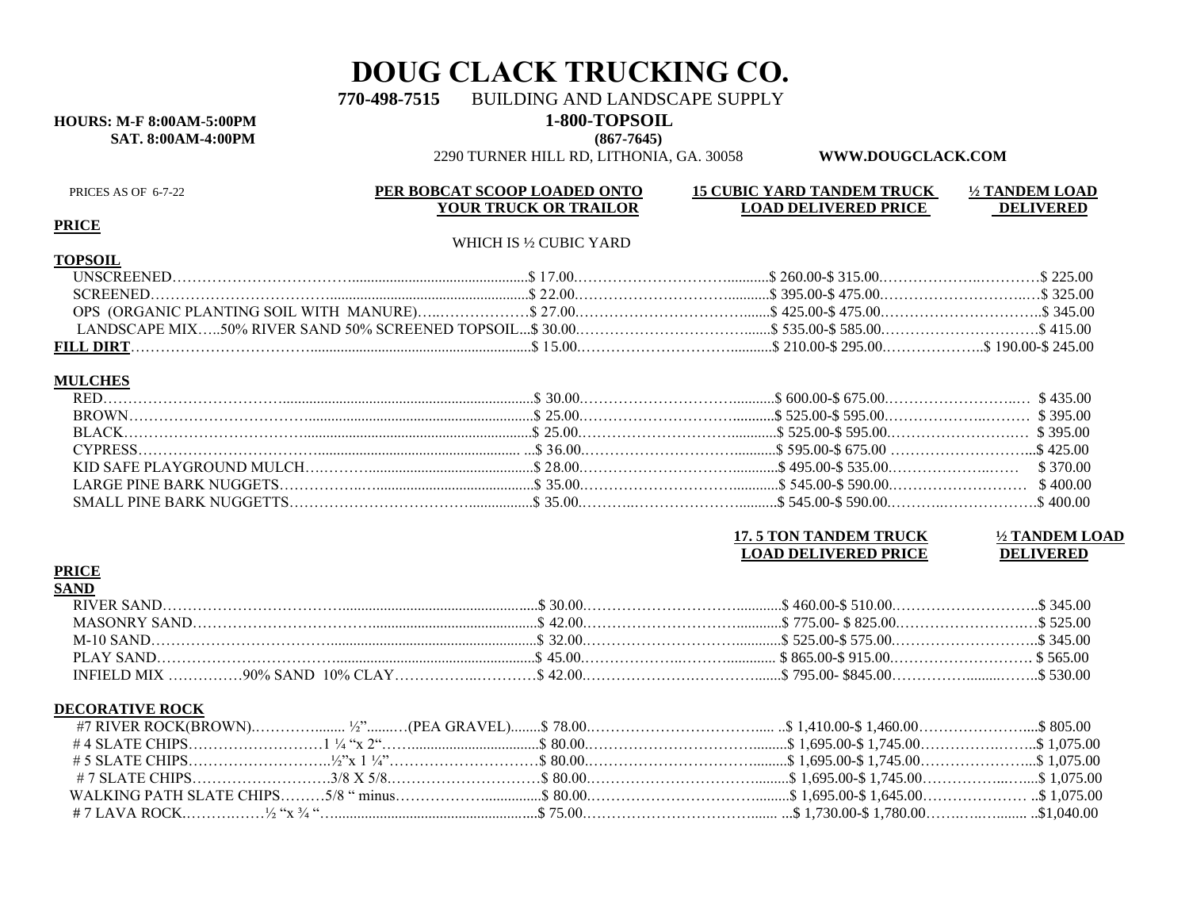# **DOUG CLACK TRUCKING CO.**

770-498-7515 BUILDING AND LANDSCAPE SUPPLY

### **HOURS: M-F 8:00AM-5:00PM 1-800-TOPSOIL**

**SAT. 8:00AM-4:00PM (867-7645)**

2290 TURNER HILL RD, LITHONIA, GA. 30058 **WWW.DOUGCLACK.COM**

#### **PRICE**

**TOPSOIL**

#### WHICH IS ½ CUBIC YARD

#### **MULCHES**

| <b>17. 5 TON TANDEM TRUCK</b> | 1/2 TANDEM LOAD  |
|-------------------------------|------------------|
| <b>LOAD DELIVERED PRICE</b>   | <b>DELIVERED</b> |

#### **PRICE**

| SANI |  |  |
|------|--|--|
|      |  |  |
|      |  |  |
|      |  |  |
|      |  |  |
|      |  |  |

#### **DECORATIVE ROCK**

|  | .5 805.00 % 1,410.00 % 1,460.00 % 1,460.00 % 1,460.00 % \$ 80.00 % \$ 80.00 % \$ 80.00 % \$ 1,410.00 \$ 1,460.00 % \$ 805.00 % \$ 805.00 % \$ 805.00 % \$ 805.00 % \$ 805.00 % \$ 805.00 % \$ 805.00 % \$ 805.00 % \$ 805.00 % \$ 805.00 % \$ |  |
|--|-----------------------------------------------------------------------------------------------------------------------------------------------------------------------------------------------------------------------------------------------|--|
|  |                                                                                                                                                                                                                                               |  |
|  |                                                                                                                                                                                                                                               |  |
|  |                                                                                                                                                                                                                                               |  |
|  |                                                                                                                                                                                                                                               |  |
|  |                                                                                                                                                                                                                                               |  |

# PRICES AS OF 6-7-22 **PER BOBCAT SCOOP LOADED ONTO** 15 CUBIC YARD TANDEM TRUCK <sup>1</sup>/2 TANDEM LOAD **PER BOBCAT SCOOP LOADED ONTO** 15 CUBIC YARD TANDEM TRUCK **2008**

**YOUR TRUCK OR TRAILOR LOAD DELIVERED PRICE DELIVERED**